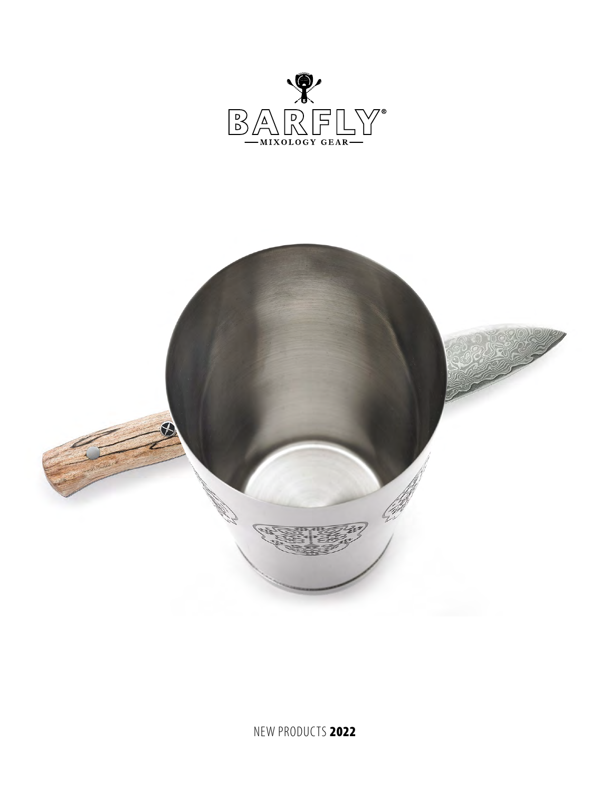

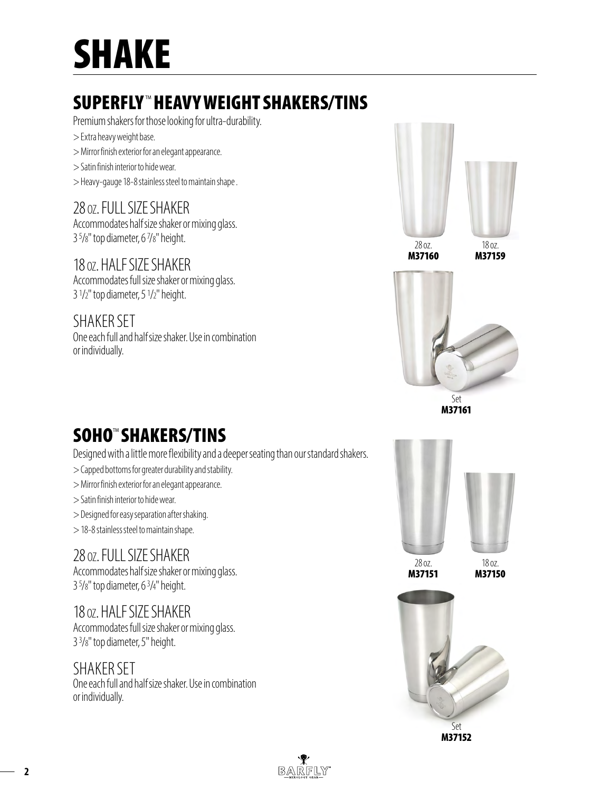# SHAKE

## SUPERFLY™HEAVY WEIGHT SHAKERS/TINS

Premium shakers for those looking for ultra-durability.

- > Extra heavy weight base.
- > Mirror finish exterior for an elegant appearance.
- > Satin finish interior to hide wear.
- > Heavy-gauge 18-8 stainless steel to maintain shape .

#### 28 oz. FULL SIZE SHAKER

Accommodates half size shaker or mixing glass. 3 5 /8" top diameter, 6 7 /8" height.

#### 18 oz. HALF SIZE SHAKER

Accommodates full size shaker or mixing glass. 3 1 /2" top diameter, 5 1 /2" height.

#### SHAKER SET

One each full and half size shaker. Use in combination or individually.



M37160

M37159



Set M37161

# SOHO<sup>™</sup> SHAKERS/TINS

Designed with a little more flexibility and a deeper seating than our standard shakers.

- > Capped bottoms for greater durability and stability.
- > Mirror finish exterior for an elegant appearance.
- > Satin finish interior to hide wear.
- > Designed for easy separation after shaking.
- > 18-8 stainless steel to maintain shape.

#### 28 oz. FULL SIZE SHAKER

Accommodates half size shaker or mixing glass. 3 5 /8" top diameter, 6 3 /4" height.

#### 18 oz. HALF SIZE SHAKER

Accommodates full size shaker or mixing glass. 3 3 /8" top diameter, 5" height.

#### SHAKER SET

One each full and half size shaker. Use in combination or individually.



M37151

M37150



M37152

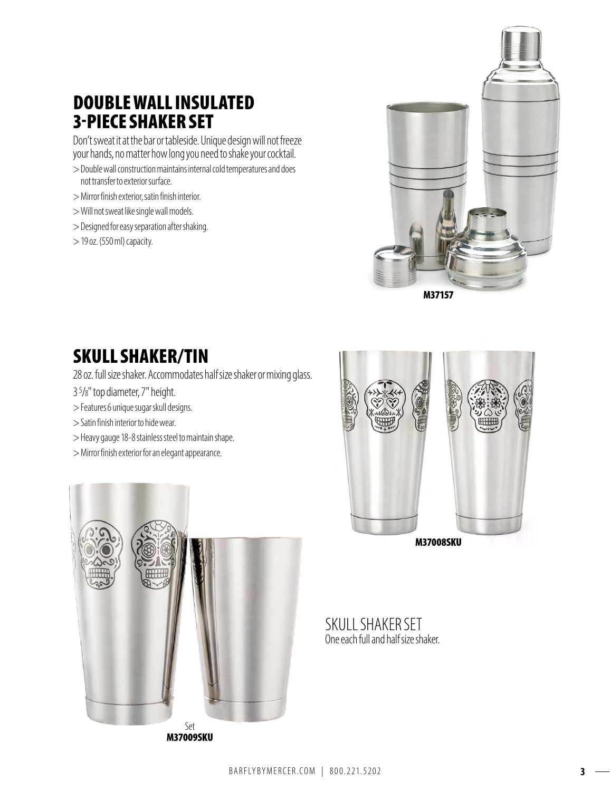### DOUBLE WALL INSULATED 3-PIECE SHAKER SET

Don't sweat it at the bar or tableside. Unique design will not freeze your hands, no matter how long you need to shake your cocktail.

- > Double wall construction maintains internal cold temperatures and does not transfer to exterior surface.
- > Mirror finish exterior, satin finish interior.
- > Will not sweat like single wall models.
- > Designed for easy separation after shaking.
- > 19 oz. (550 ml) capacity.



SKULL SHAKER/TIN

28 oz. full size shaker. Accommodates half size shaker or mixing glass.

- 3 5 /8" top diameter, 7" height.
- > Features 6 unique sugar skull designs.
- > Satin finish interior to hide wear.
- > Heavy gauge 18-8 stainless steel to maintain shape.
- > Mirror finish exterior for an elegant appearance.





SKULL SHAKER SET One each full and half size shaker.